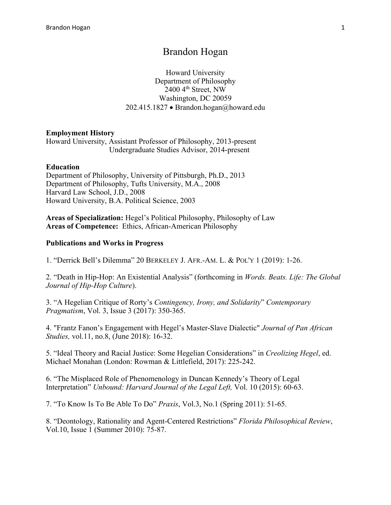# Brandon Hogan

Howard University Department of Philosophy  $2400$  4<sup>th</sup> Street, NW Washington, DC 20059 202.415.1827 • Brandon.hogan@howard.edu

#### **Employment History**

Howard University, Assistant Professor of Philosophy, 2013-present Undergraduate Studies Advisor, 2014-present

#### **Education**

Department of Philosophy, University of Pittsburgh, Ph.D., 2013 Department of Philosophy, Tufts University, M.A., 2008 Harvard Law School, J.D., 2008 Howard University, B.A. Political Science, 2003

**Areas of Specialization:** Hegel's Political Philosophy, Philosophy of Law **Areas of Competence:** Ethics, African-American Philosophy

#### **Publications and Works in Progress**

1. "Derrick Bell's Dilemma" 20 BERKELEY J. AFR.-AM. L. & POL'Y 1 (2019): 1-26.

2. "Death in Hip-Hop: An Existential Analysis" (forthcoming in *Words. Beats. Life: The Global Journal of Hip-Hop Culture*).

3. "A Hegelian Critique of Rorty's *Contingency, Irony, and Solidarity*" *Contemporary Pragmatism*, Vol. 3, Issue 3 (2017): 350-365.

4. "Frantz Fanon's Engagement with Hegel's Master-Slave Dialectic" *Journal of Pan African Studies,* vol.11, no.8, (June 2018): 16-32.

5. "Ideal Theory and Racial Justice: Some Hegelian Considerations" in *Creolizing Hegel*, ed. Michael Monahan (London: Rowman & Littlefield, 2017): 225-242.

6. "The Misplaced Role of Phenomenology in Duncan Kennedy's Theory of Legal Interpretation" *Unbound: Harvard Journal of the Legal Left,* Vol. 10 (2015): 60-63.

7. "To Know Is To Be Able To Do" *Praxis*, Vol.3, No.1 (Spring 2011): 51-65.

8. "Deontology, Rationality and Agent-Centered Restrictions" *Florida Philosophical Review*, Vol.10, Issue 1 (Summer 2010): 75-87.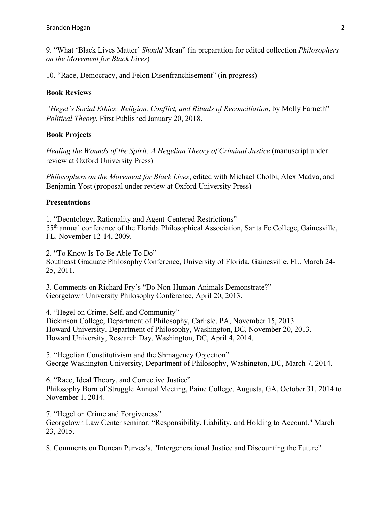9. "What 'Black Lives Matter' *Should* Mean" (in preparation for edited collection *Philosophers on the Movement for Black Lives*)

10. "Race, Democracy, and Felon Disenfranchisement" (in progress)

#### **Book Reviews**

*"Hegel's Social Ethics: Religion, Conflict, and Rituals of Reconciliation*, by Molly Farneth" *Political Theory*, First Published January 20, 2018.

#### **Book Projects**

*Healing the Wounds of the Spirit: A Hegelian Theory of Criminal Justice (manuscript under* review at Oxford University Press)

*Philosophers on the Movement for Black Lives*, edited with Michael Cholbi, Alex Madva, and Benjamin Yost (proposal under review at Oxford University Press)

#### **Presentations**

1. "Deontology, Rationality and Agent-Centered Restrictions" 55th annual conference of the Florida Philosophical Association, Santa Fe College, Gainesville, FL. November 12-14, 2009.

2. "To Know Is To Be Able To Do" Southeast Graduate Philosophy Conference, University of Florida, Gainesville, FL. March 24- 25, 2011.

3. Comments on Richard Fry's "Do Non-Human Animals Demonstrate?" Georgetown University Philosophy Conference, April 20, 2013.

4. "Hegel on Crime, Self, and Community" Dickinson College, Department of Philosophy, Carlisle, PA, November 15, 2013. Howard University, Department of Philosophy, Washington, DC, November 20, 2013. Howard University, Research Day, Washington, DC, April 4, 2014.

5. "Hegelian Constitutivism and the Shmagency Objection" George Washington University, Department of Philosophy, Washington, DC, March 7, 2014.

6. "Race, Ideal Theory, and Corrective Justice" Philosophy Born of Struggle Annual Meeting, Paine College, Augusta, GA, October 31, 2014 to November 1, 2014.

7. "Hegel on Crime and Forgiveness"

Georgetown Law Center seminar: "Responsibility, Liability, and Holding to Account." March 23, 2015.

8. Comments on Duncan Purves's, "Intergenerational Justice and Discounting the Future"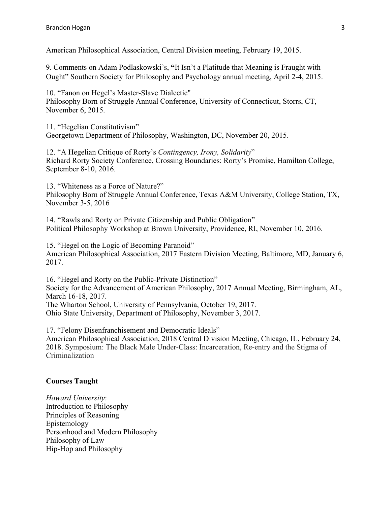American Philosophical Association, Central Division meeting, February 19, 2015.

9. Comments on Adam Podlaskowski's, **"**It Isn't a Platitude that Meaning is Fraught with Ought" Southern Society for Philosophy and Psychology annual meeting, April 2-4, 2015.

10. "Fanon on Hegel's Master-Slave Dialectic" Philosophy Born of Struggle Annual Conference, University of Connecticut, Storrs, CT, November 6, 2015.

11. "Hegelian Constitutivism" Georgetown Department of Philosophy, Washington, DC, November 20, 2015.

12. "A Hegelian Critique of Rorty's *Contingency, Irony, Solidarity*" Richard Rorty Society Conference, Crossing Boundaries: Rorty's Promise, Hamilton College, September 8-10, 2016.

13. "Whiteness as a Force of Nature?" Philosophy Born of Struggle Annual Conference, Texas A&M University, College Station, TX, November 3-5, 2016

14. "Rawls and Rorty on Private Citizenship and Public Obligation" Political Philosophy Workshop at Brown University, Providence, RI, November 10, 2016.

15. "Hegel on the Logic of Becoming Paranoid" American Philosophical Association, 2017 Eastern Division Meeting, Baltimore, MD, January 6, 2017.

16. "Hegel and Rorty on the Public-Private Distinction" Society for the Advancement of American Philosophy, 2017 Annual Meeting, Birmingham, AL, March 16-18, 2017. The Wharton School, University of Pennsylvania, October 19, 2017.

Ohio State University, Department of Philosophy, November 3, 2017.

17. "Felony Disenfranchisement and Democratic Ideals" American Philosophical Association, 2018 Central Division Meeting, Chicago, IL, February 24, 2018. Symposium: The Black Male Under-Class: Incarceration, Re-entry and the Stigma of Criminalization

### **Courses Taught**

*Howard University*: Introduction to Philosophy Principles of Reasoning Epistemology Personhood and Modern Philosophy Philosophy of Law Hip-Hop and Philosophy